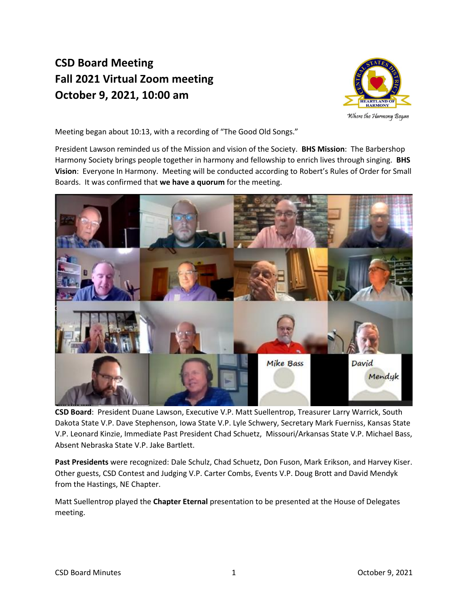## **CSD Board Meeting Fall 2021 Virtual Zoom meeting October 9, 2021, 10:00 am**



Where the Harmony Began

Meeting began about 10:13, with a recording of "The Good Old Songs."

President Lawson reminded us of the Mission and vision of the Society. **BHS Mission**: The Barbershop Harmony Society brings people together in harmony and fellowship to enrich lives through singing. **BHS Vision**: Everyone In Harmony. Meeting will be conducted according to Robert's Rules of Order for Small Boards. It was confirmed that **we have a quorum** for the meeting.



**CSD Board**: President Duane Lawson, Executive V.P. Matt Suellentrop, Treasurer Larry Warrick, South Dakota State V.P. Dave Stephenson, Iowa State V.P. Lyle Schwery, Secretary Mark Fuerniss, Kansas State V.P. Leonard Kinzie, Immediate Past President Chad Schuetz, Missouri/Arkansas State V.P. Michael Bass, Absent Nebraska State V.P. Jake Bartlett.

**Past Presidents** were recognized: Dale Schulz, Chad Schuetz, Don Fuson, Mark Erikson, and Harvey Kiser. Other guests, CSD Contest and Judging V.P. Carter Combs, Events V.P. Doug Brott and David Mendyk from the Hastings, NE Chapter.

Matt Suellentrop played the **Chapter Eternal** presentation to be presented at the House of Delegates meeting.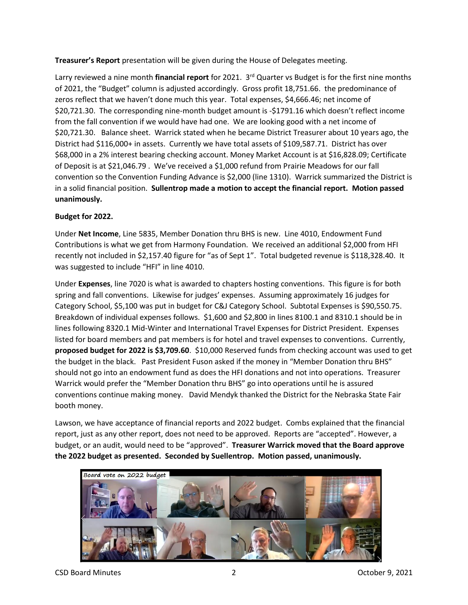**Treasurer's Report** presentation will be given during the House of Delegates meeting.

Larry reviewed a nine month **financial report** for 2021. 3 rd Quarter vs Budget is for the first nine months of 2021, the "Budget" column is adjusted accordingly. Gross profit 18,751.66. the predominance of zeros reflect that we haven't done much this year. Total expenses, \$4,666.46; net income of \$20,721.30. The corresponding nine-month budget amount is -\$1791.16 which doesn't reflect income from the fall convention if we would have had one. We are looking good with a net income of \$20,721.30. Balance sheet. Warrick stated when he became District Treasurer about 10 years ago, the District had \$116,000+ in assets. Currently we have total assets of \$109,587.71. District has over \$68,000 in a 2% interest bearing checking account. Money Market Account is at \$16,828.09; Certificate of Deposit is at \$21,046.79 . We've received a \$1,000 refund from Prairie Meadows for our fall convention so the Convention Funding Advance is \$2,000 (line 1310). Warrick summarized the District is in a solid financial position. **Sullentrop made a motion to accept the financial report. Motion passed unanimously.** 

### **Budget for 2022.**

Under **Net Income**, Line 5835, Member Donation thru BHS is new. Line 4010, Endowment Fund Contributions is what we get from Harmony Foundation. We received an additional \$2,000 from HFI recently not included in \$2,157.40 figure for "as of Sept 1". Total budgeted revenue is \$118,328.40. It was suggested to include "HFI" in line 4010.

Under **Expenses**, line 7020 is what is awarded to chapters hosting conventions. This figure is for both spring and fall conventions. Likewise for judges' expenses. Assuming approximately 16 judges for Category School, \$5,100 was put in budget for C&J Category School. Subtotal Expenses is \$90,550.75. Breakdown of individual expenses follows. \$1,600 and \$2,800 in lines 8100.1 and 8310.1 should be in lines following 8320.1 Mid-Winter and International Travel Expenses for District President. Expenses listed for board members and pat members is for hotel and travel expenses to conventions. Currently, **proposed budget for 2022 is \$3,709.60**. \$10,000 Reserved funds from checking account was used to get the budget in the black. Past President Fuson asked if the money in "Member Donation thru BHS" should not go into an endowment fund as does the HFI donations and not into operations. Treasurer Warrick would prefer the "Member Donation thru BHS" go into operations until he is assured conventions continue making money. David Mendyk thanked the District for the Nebraska State Fair booth money.

Lawson, we have acceptance of financial reports and 2022 budget. Combs explained that the financial report, just as any other report, does not need to be approved. Reports are "accepted". However, a budget, or an audit, would need to be "approved". **Treasurer Warrick moved that the Board approve the 2022 budget as presented. Seconded by Suellentrop. Motion passed, unanimously.**



CSD Board Minutes 2 October 9, 2021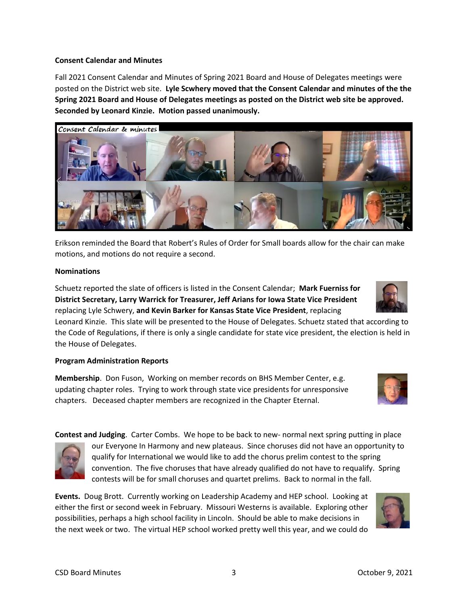#### **Consent Calendar and Minutes**

Fall 2021 Consent Calendar and Minutes of Spring 2021 Board and House of Delegates meetings were posted on the District web site. **Lyle Scwhery moved that the Consent Calendar and minutes of the the Spring 2021 Board and House of Delegates meetings as posted on the District web site be approved. Seconded by Leonard Kinzie. Motion passed unanimously.** 



Erikson reminded the Board that Robert's Rules of Order for Small boards allow for the chair can make motions, and motions do not require a second.

#### **Nominations**

Schuetz reported the slate of officers is listed in the Consent Calendar; **Mark Fuerniss for District Secretary, Larry Warrick for Treasurer, Jeff Arians for Iowa State Vice President** replacing Lyle Schwery, **and Kevin Barker for Kansas State Vice President**, replacing

Leonard Kinzie. This slate will be presented to the House of Delegates. Schuetz stated that according to the Code of Regulations, if there is only a single candidate for state vice president, the election is held in the House of Delegates.

#### **Program Administration Reports**

**Membership**. Don Fuson, Working on member records on BHS Member Center, e.g. updating chapter roles. Trying to work through state vice presidents for unresponsive chapters. Deceased chapter members are recognized in the Chapter Eternal.

**Contest and Judging**. Carter Combs. We hope to be back to new- normal next spring putting in place



our Everyone In Harmony and new plateaus. Since choruses did not have an opportunity to qualify for International we would like to add the chorus prelim contest to the spring convention. The five choruses that have already qualified do not have to requalify. Spring contests will be for small choruses and quartet prelims. Back to normal in the fall.

**Events.** Doug Brott. Currently working on Leadership Academy and HEP school.Looking at either the first or second week in February. Missouri Westerns is available. Exploring other possibilities, perhaps a high school facility in Lincoln. Should be able to make decisions in the next week or two. The virtual HEP school worked pretty well this year, and we could do



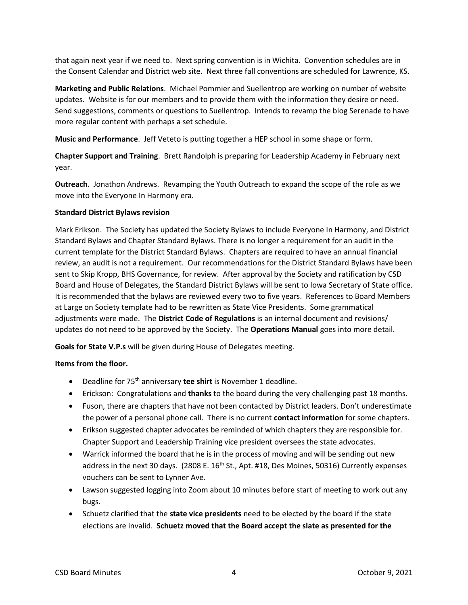that again next year if we need to. Next spring convention is in Wichita. Convention schedules are in the Consent Calendar and District web site. Next three fall conventions are scheduled for Lawrence, KS.

**Marketing and Public Relations**. Michael Pommier and Suellentrop are working on number of website updates. Website is for our members and to provide them with the information they desire or need. Send suggestions, comments or questions to Suellentrop. Intends to revamp the blog Serenade to have more regular content with perhaps a set schedule.

**Music and Performance**. Jeff Veteto is putting together a HEP school in some shape or form.

**Chapter Support and Training**. Brett Randolph is preparing for Leadership Academy in February next year.

**Outreach**. Jonathon Andrews. Revamping the Youth Outreach to expand the scope of the role as we move into the Everyone In Harmony era.

### **Standard District Bylaws revision**

Mark Erikson. The Society has updated the Society Bylaws to include Everyone In Harmony, and District Standard Bylaws and Chapter Standard Bylaws. There is no longer a requirement for an audit in the current template for the District Standard Bylaws. Chapters are required to have an annual financial review, an audit is not a requirement. Our recommendations for the District Standard Bylaws have been sent to Skip Kropp, BHS Governance, for review. After approval by the Society and ratification by CSD Board and House of Delegates, the Standard District Bylaws will be sent to Iowa Secretary of State office. It is recommended that the bylaws are reviewed every two to five years. References to Board Members at Large on Society template had to be rewritten as State Vice Presidents. Some grammatical adjustments were made. The **District Code of Regulations** is an internal document and revisions/ updates do not need to be approved by the Society. The **Operations Manual** goes into more detail.

**Goals for State V.P.s** will be given during House of Delegates meeting.

#### **Items from the floor.**

- Deadline for 75<sup>th</sup> anniversary **tee shirt** is November 1 deadline.
- Erickson: Congratulations and **thanks** to the board during the very challenging past 18 months.
- Fuson, there are chapters that have not been contacted by District leaders. Don't underestimate the power of a personal phone call. There is no current **contact information** for some chapters.
- Erikson suggested chapter advocates be reminded of which chapters they are responsible for. Chapter Support and Leadership Training vice president oversees the state advocates.
- Warrick informed the board that he is in the process of moving and will be sending out new address in the next 30 days. (2808 E. 16<sup>th</sup> St., Apt. #18, Des Moines, 50316) Currently expenses vouchers can be sent to Lynner Ave.
- Lawson suggested logging into Zoom about 10 minutes before start of meeting to work out any bugs.
- Schuetz clarified that the **state vice presidents** need to be elected by the board if the state elections are invalid. **Schuetz moved that the Board accept the slate as presented for the**